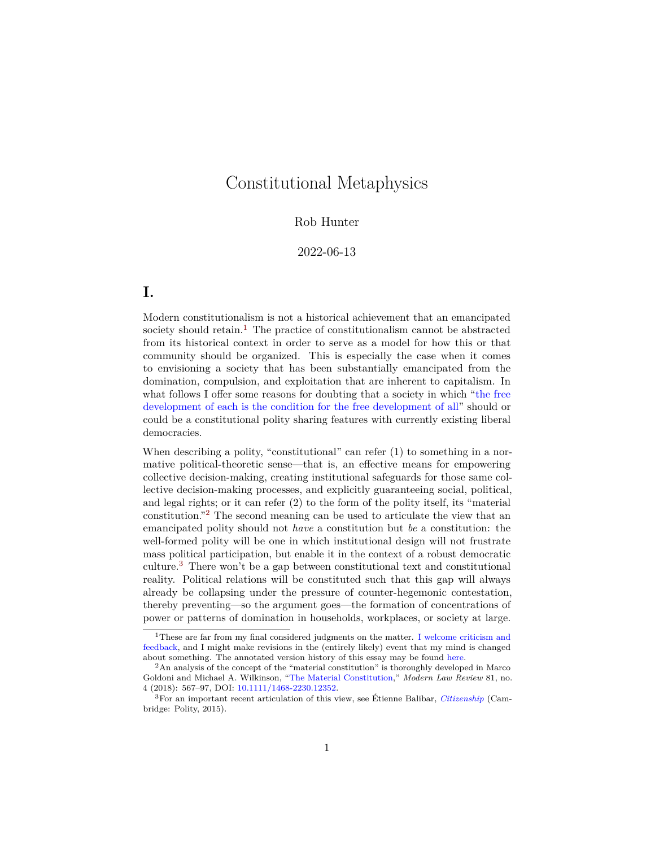# Constitutional Metaphysics

#### Rob Hunter

#### 2022-06-13

# **I.**

Modern constitutionalism is not a historical achievement that an emancipated society should retain.<sup>[1](#page-0-0)</sup> The practice of constitutionalism cannot be abstracted from its historical context in order to serve as a model for how this or that community should be organized. This is especially the case when it comes to envisioning a society that has been substantially emancipated from the domination, compulsion, and exploitation that are inherent to capitalism. In what follows I offer some reasons for doubting that a society in which ["the free](https://www.marxists.org/archive/marx/works/1848/communist-manifesto/ch02.htm) [development of each is the condition for the free development of all"](https://www.marxists.org/archive/marx/works/1848/communist-manifesto/ch02.htm) should or could be a constitutional polity sharing features with currently existing liberal democracies.

When describing a polity, "constitutional" can refer  $(1)$  to something in a normative political-theoretic sense—that is, an effective means for empowering collective decision-making, creating institutional safeguards for those same collective decision-making processes, and explicitly guaranteeing social, political, and legal rights; or it can refer (2) to the form of the polity itself, its "material constitution."[2](#page-0-1) The second meaning can be used to articulate the view that an emancipated polity should not *have* a constitution but *be* a constitution: the well-formed polity will be one in which institutional design will not frustrate mass political participation, but enable it in the context of a robust democratic culture.[3](#page-0-2) There won't be a gap between constitutional text and constitutional reality. Political relations will be constituted such that this gap will always already be collapsing under the pressure of counter-hegemonic contestation, thereby preventing—so the argument goes—the formation of concentrations of power or patterns of domination in households, workplaces, or society at large.

<span id="page-0-0"></span><sup>&</sup>lt;sup>1</sup>These are far from my final considered judgments on the matter. [I welcome criticism and](mailto:jrh@rhunter.org) [feedback,](mailto:jrh@rhunter.org) and I might make revisions in the (entirely likely) event that my mind is changed about something. The annotated version history of this essay may be found [here.](https://github.com/jrhunter/rhunter/commits/master/content/blog/critique-socialist-constitutionalism-fetishism-domination.md)

<span id="page-0-1"></span> $2\text{An analysis of the concept of the "material constitution" is thoroughly developed in Marco}$ Goldoni and Michael A. Wilkinson, ["The Material Constitution,](https://onlinelibrary.wiley.com/doi/abs/10.1111/1468-2230.12352)" *Modern Law Review* 81, no. 4 (2018): 567–97, DOI: [10.1111/1468-2230.12352.](https://doi.org/10.1111/1468-2230.12352)

<span id="page-0-2"></span><sup>3</sup>For an important recent articulation of this view, see Étienne Balibar, *[Citizenship](https://www.politybooks.com/bookdetail?book_slug=citizenship--9780745682402)* (Cambridge: Polity, 2015).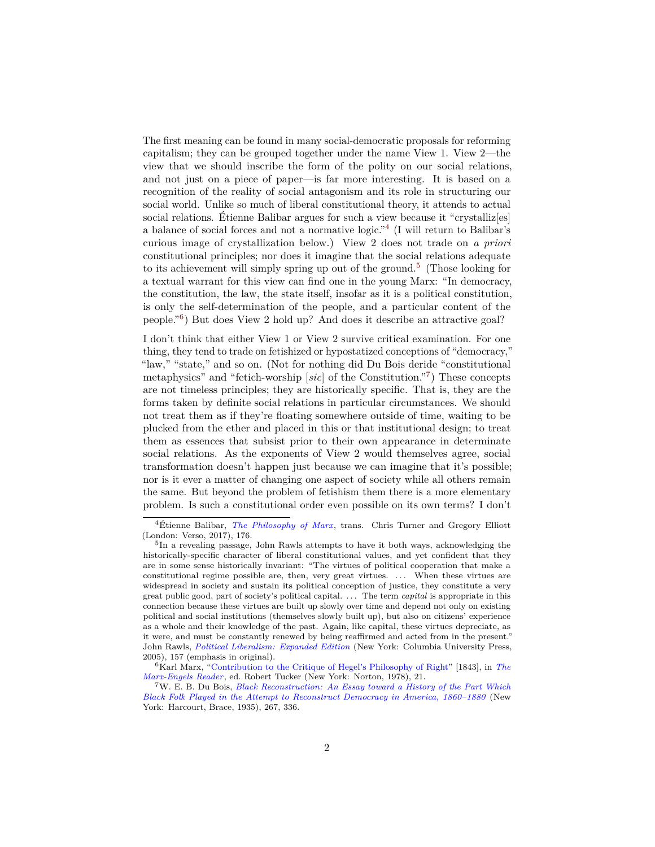The first meaning can be found in many social-democratic proposals for reforming capitalism; they can be grouped together under the name View 1. View 2—the view that we should inscribe the form of the polity on our social relations, and not just on a piece of paper—is far more interesting. It is based on a recognition of the reality of social antagonism and its role in structuring our social world. Unlike so much of liberal constitutional theory, it attends to actual social relations. Étienne Balibar argues for such a view because it "crystalliz[es] a balance of social forces and not a normative logic."[4](#page-1-0) (I will return to Balibar's curious image of crystallization below.) View 2 does not trade on *a priori* constitutional principles; nor does it imagine that the social relations adequate to its achievement will simply spring up out of the ground.<sup>[5](#page-1-1)</sup> (Those looking for a textual warrant for this view can find one in the young Marx: "In democracy, the constitution, the law, the state itself, insofar as it is a political constitution, is only the self-determination of the people, and a particular content of the people."[6](#page-1-2) ) But does View 2 hold up? And does it describe an attractive goal?

I don't think that either View 1 or View 2 survive critical examination. For one thing, they tend to trade on fetishized or hypostatized conceptions of "democracy," "law," "state," and so on. (Not for nothing did Du Bois deride "constitutional metaphysics" and "fetich-worship [*sic*] of the Constitution."[7](#page-1-3) ) These concepts are not timeless principles; they are historically specific. That is, they are the forms taken by definite social relations in particular circumstances. We should not treat them as if they're floating somewhere outside of time, waiting to be plucked from the ether and placed in this or that institutional design; to treat them as essences that subsist prior to their own appearance in determinate social relations. As the exponents of View 2 would themselves agree, social transformation doesn't happen just because we can imagine that it's possible; nor is it ever a matter of changing one aspect of society while all others remain the same. But beyond the problem of fetishism them there is a more elementary problem. Is such a constitutional order even possible on its own terms? I don't

<span id="page-1-0"></span><sup>4</sup>Étienne Balibar, *[The Philosophy of Marx](https://www.versobooks.com/books/2264-the-philosophy-of-marx)*, trans. Chris Turner and Gregory Elliott (London: Verso, 2017), 176.

<span id="page-1-1"></span><sup>&</sup>lt;sup>5</sup>In a revealing passage, John Rawls attempts to have it both ways, acknowledging the historically-specific character of liberal constitutional values, and yet confident that they are in some sense historically invariant: "The virtues of political cooperation that make a constitutional regime possible are, then, very great virtues. . . . When these virtues are widespread in society and sustain its political conception of justice, they constitute a very great public good, part of society's political capital. . . . The term *capital* is appropriate in this connection because these virtues are built up slowly over time and depend not only on existing political and social institutions (themselves slowly built up), but also on citizens' experience as a whole and their knowledge of the past. Again, like capital, these virtues depreciate, as it were, and must be constantly renewed by being reaffirmed and acted from in the present." John Rawls, *[Political Liberalism: Expanded Edition](http://cup.columbia.edu/book/political-liberalism/9780231130899)* (New York: Columbia University Press, 2005), 157 (emphasis in original).

<span id="page-1-2"></span><sup>6</sup>Karl Marx, ["Contribution to the Critique of Hegel's Philosophy of Right"](https://www.marxists.org/archive/marx/works/1843/critique-hpr/index.htm) [1843], in *[The](https://wwnorton.com/books/9780393090406) [Marx-Engels Reader](https://wwnorton.com/books/9780393090406)*, ed. Robert Tucker (New York: Norton, 1978), 21.

<span id="page-1-3"></span><sup>7</sup>W. E. B. Du Bois, *[Black Reconstruction: An Essay toward a History of the Part Which](https://libcom.org/article/black-reconstruction-america-web-du-bois) [Black Folk Played in the Attempt to Reconstruct Democracy in America, 1860–1880](https://libcom.org/article/black-reconstruction-america-web-du-bois)* (New York: Harcourt, Brace, 1935), 267, 336.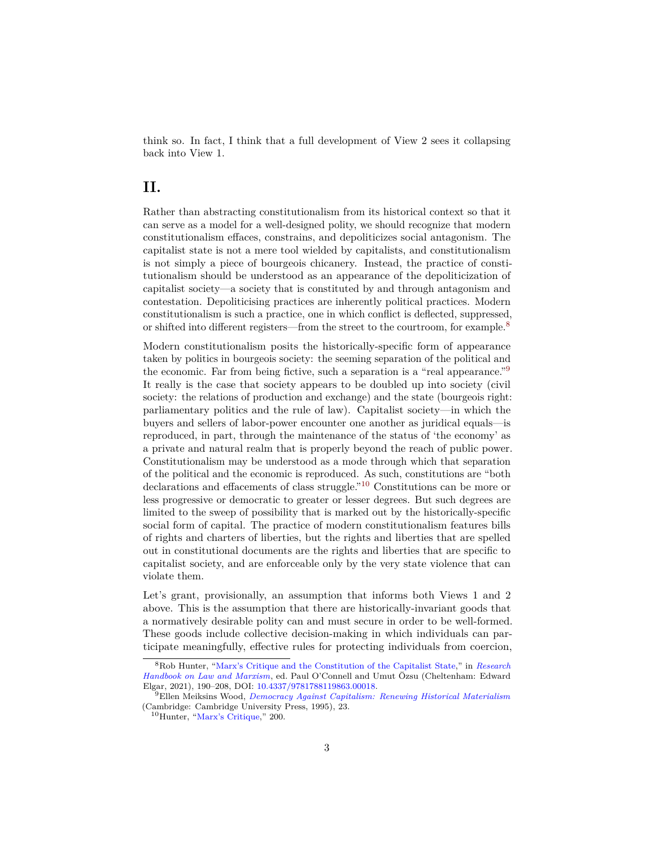think so. In fact, I think that a full development of View 2 sees it collapsing back into View 1.

### **II.**

Rather than abstracting constitutionalism from its historical context so that it can serve as a model for a well-designed polity, we should recognize that modern constitutionalism effaces, constrains, and depoliticizes social antagonism. The capitalist state is not a mere tool wielded by capitalists, and constitutionalism is not simply a piece of bourgeois chicanery. Instead, the practice of constitutionalism should be understood as an appearance of the depoliticization of capitalist society—a society that is constituted by and through antagonism and contestation. Depoliticising practices are inherently political practices. Modern constitutionalism is such a practice, one in which conflict is deflected, suppressed, or shifted into different registers—from the street to the courtroom, for example.[8](#page-2-0)

Modern constitutionalism posits the historically-specific form of appearance taken by politics in bourgeois society: the seeming separation of the political and the economic. Far from being fictive, such a separation is a "real appearance."[9](#page-2-1) It really is the case that society appears to be doubled up into society (civil society: the relations of production and exchange) and the state (bourgeois right: parliamentary politics and the rule of law). Capitalist society—in which the buyers and sellers of labor-power encounter one another as juridical equals—is reproduced, in part, through the maintenance of the status of 'the economy' as a private and natural realm that is properly beyond the reach of public power. Constitutionalism may be understood as a mode through which that separation of the political and the economic is reproduced. As such, constitutions are "both declarations and effacements of class struggle."[10](#page-2-2) Constitutions can be more or less progressive or democratic to greater or lesser degrees. But such degrees are limited to the sweep of possibility that is marked out by the historically-specific social form of capital. The practice of modern constitutionalism features bills of rights and charters of liberties, but the rights and liberties that are spelled out in constitutional documents are the rights and liberties that are specific to capitalist society, and are enforceable only by the very state violence that can violate them.

Let's grant, provisionally, an assumption that informs both Views 1 and 2 above. This is the assumption that there are historically-invariant goods that a normatively desirable polity can and must secure in order to be well-formed. These goods include collective decision-making in which individuals can participate meaningfully, effective rules for protecting individuals from coercion,

<span id="page-2-0"></span><sup>8</sup>Rob Hunter, ["Marx's Critique and the Constitution of the Capitalist State,](https://rhunter.org/pdfs/Hunter-Marxs-critique-constitution-capitalist-state-PREPRINT.pdf)" in *[Research](https://doi.org/10.4337/9781788119863) [Handbook on Law and Marxism](https://doi.org/10.4337/9781788119863)*, ed. Paul O'Connell and Umut Özsu (Cheltenham: Edward Elgar, 2021), 190–208, DOI: [10.4337/9781788119863.00018.](https://doi.org/10.4337/9781788119863.00018)

<span id="page-2-1"></span><sup>9</sup>Ellen Meiksins Wood, *[Democracy Against Capitalism: Renewing Historical Materialism](https://cominsitu.files.wordpress.com/2016/01/ellen-meiksins-wood-democracy-against-capitalism-renewing-historical-materialism-1995.pdf)* (Cambridge: Cambridge University Press, 1995), 23.

<span id="page-2-2"></span><sup>10</sup>Hunter, ["Marx's Critique,](https://rhunter.org/pdfs/Hunter-Marxs-critique-constitution-capitalist-state-PREPRINT.pdf)" 200.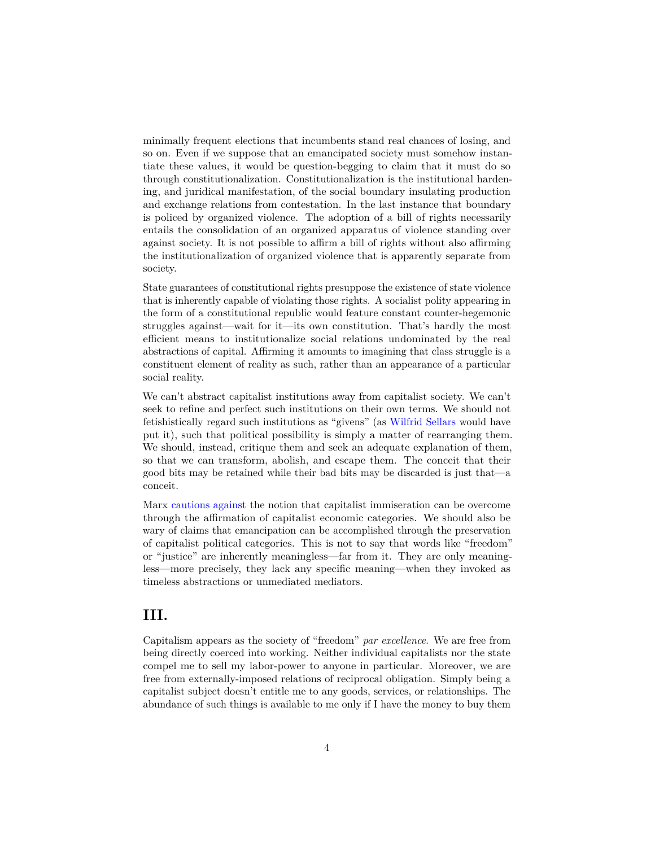minimally frequent elections that incumbents stand real chances of losing, and so on. Even if we suppose that an emancipated society must somehow instantiate these values, it would be question-begging to claim that it must do so through constitutionalization. Constitutionalization is the institutional hardening, and juridical manifestation, of the social boundary insulating production and exchange relations from contestation. In the last instance that boundary is policed by organized violence. The adoption of a bill of rights necessarily entails the consolidation of an organized apparatus of violence standing over against society. It is not possible to affirm a bill of rights without also affirming the institutionalization of organized violence that is apparently separate from society.

State guarantees of constitutional rights presuppose the existence of state violence that is inherently capable of violating those rights. A socialist polity appearing in the form of a constitutional republic would feature constant counter-hegemonic struggles against—wait for it—its own constitution. That's hardly the most efficient means to institutionalize social relations undominated by the real abstractions of capital. Affirming it amounts to imagining that class struggle is a constituent element of reality as such, rather than an appearance of a particular social reality.

We can't abstract capitalist institutions away from capitalist society. We can't seek to refine and perfect such institutions on their own terms. We should not fetishistically regard such institutions as "givens" (as [Wilfrid Sellars](https://plato.stanford.edu/entries/sellars/) would have put it), such that political possibility is simply a matter of rearranging them. We should, instead, critique them and seek an adequate explanation of them, so that we can transform, abolish, and escape them. The conceit that their good bits may be retained while their bad bits may be discarded is just that—a conceit.

Marx [cautions against](https://www.marxists.org/archive/marx/works/1847/poverty-philosophy/) the notion that capitalist immiseration can be overcome through the affirmation of capitalist economic categories. We should also be wary of claims that emancipation can be accomplished through the preservation of capitalist political categories. This is not to say that words like "freedom" or "justice" are inherently meaningless—far from it. They are only meaningless—more precisely, they lack any specific meaning—when they invoked as timeless abstractions or unmediated mediators.

### **III.**

Capitalism appears as the society of "freedom" *par excellence*. We are free from being directly coerced into working. Neither individual capitalists nor the state compel me to sell my labor-power to anyone in particular. Moreover, we are free from externally-imposed relations of reciprocal obligation. Simply being a capitalist subject doesn't entitle me to any goods, services, or relationships. The abundance of such things is available to me only if I have the money to buy them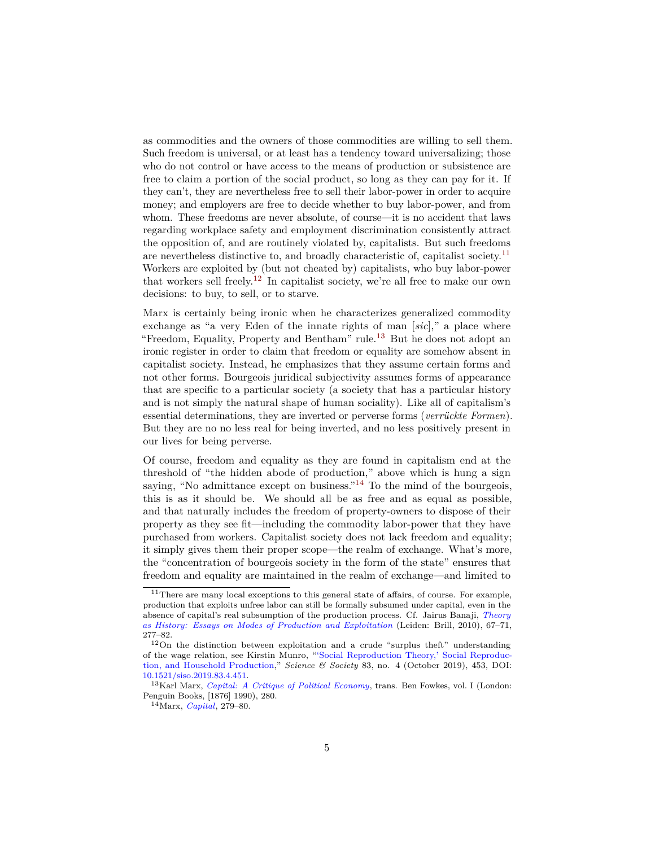as commodities and the owners of those commodities are willing to sell them. Such freedom is universal, or at least has a tendency toward universalizing; those who do not control or have access to the means of production or subsistence are free to claim a portion of the social product, so long as they can pay for it. If they can't, they are nevertheless free to sell their labor-power in order to acquire money; and employers are free to decide whether to buy labor-power, and from whom. These freedoms are never absolute, of course—it is no accident that laws regarding workplace safety and employment discrimination consistently attract the opposition of, and are routinely violated by, capitalists. But such freedoms are nevertheless distinctive to, and broadly characteristic of, capitalist society.[11](#page-4-0) Workers are exploited by (but not cheated by) capitalists, who buy labor-power that workers sell freely.<sup>[12](#page-4-1)</sup> In capitalist society, we're all free to make our own decisions: to buy, to sell, or to starve.

Marx is certainly being ironic when he characterizes generalized commodity exchange as "a very Eden of the innate rights of man [*sic*]," a place where "Freedom, Equality, Property and Bentham" rule.[13](#page-4-2) But he does not adopt an ironic register in order to claim that freedom or equality are somehow absent in capitalist society. Instead, he emphasizes that they assume certain forms and not other forms. Bourgeois juridical subjectivity assumes forms of appearance that are specific to a particular society (a society that has a particular history and is not simply the natural shape of human sociality). Like all of capitalism's essential determinations, they are inverted or perverse forms (*verrückte Formen*). But they are no no less real for being inverted, and no less positively present in our lives for being perverse.

Of course, freedom and equality as they are found in capitalism end at the threshold of "the hidden abode of production," above which is hung a sign saying, "No admittance except on business."<sup>[14](#page-4-3)</sup> To the mind of the bourgeois, this is as it should be. We should all be as free and as equal as possible, and that naturally includes the freedom of property-owners to dispose of their property as they see fit—including the commodity labor-power that they have purchased from workers. Capitalist society does not lack freedom and equality; it simply gives them their proper scope—the realm of exchange. What's more, the "concentration of bourgeois society in the form of the state" ensures that freedom and equality are maintained in the realm of exchange—and limited to

<span id="page-4-0"></span> $11$ There are many local exceptions to this general state of affairs, of course. For example, production that exploits unfree labor can still be formally subsumed under capital, even in the absence of capital's real subsumption of the production process. Cf. Jairus Banaji, *[Theory](https://cominsitu.files.wordpress.com/2020/10/jairus-banaji-theory-as-history.pdf) [as History: Essays on Modes of Production and Exploitation](https://cominsitu.files.wordpress.com/2020/10/jairus-banaji-theory-as-history.pdf)* (Leiden: Brill, 2010), 67–71, 277–82.

<span id="page-4-1"></span><sup>12</sup>On the distinction between exploitation and a crude "surplus theft" understanding of the wage relation, see Kirstin Munro, ["'Social Reproduction Theory,' Social Reproduc](https://guilfordjournals.com/doi/abs/10.1521/siso.2019.83.4.451?journalCode=siso)[tion, and Household Production,](https://guilfordjournals.com/doi/abs/10.1521/siso.2019.83.4.451?journalCode=siso)" *Science & Society* 83, no. 4 (October 2019), 453, DOI: [10.1521/siso.2019.83.4.451.](https://doi.org/10.1521/siso.2019.83.4.451)

<span id="page-4-2"></span><sup>13</sup>Karl Marx, *[Capital: A Critique of Political Economy](https://www.marxists.org/archive/marx/works/1867-c1/ch06.htm)*, trans. Ben Fowkes, vol. I (London: Penguin Books, [1876] 1990), 280.

<span id="page-4-3"></span><sup>14</sup>Marx, *[Capital](https://www.marxists.org/archive/marx/works/1867-c1/ch06.htm)*, 279–80.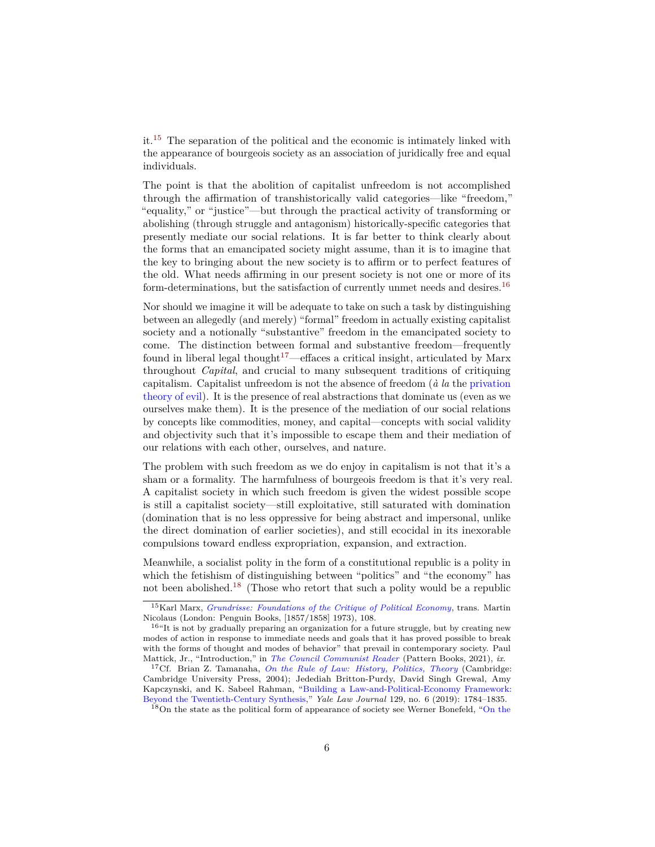it.[15](#page-5-0) The separation of the political and the economic is intimately linked with the appearance of bourgeois society as an association of juridically free and equal individuals.

The point is that the abolition of capitalist unfreedom is not accomplished through the affirmation of transhistorically valid categories—like "freedom," "equality," or "justice"—but through the practical activity of transforming or abolishing (through struggle and antagonism) historically-specific categories that presently mediate our social relations. It is far better to think clearly about the forms that an emancipated society might assume, than it is to imagine that the key to bringing about the new society is to affirm or to perfect features of the old. What needs affirming in our present society is not one or more of its form-determinations, but the satisfaction of currently unmet needs and desires.<sup>[16](#page-5-1)</sup>

Nor should we imagine it will be adequate to take on such a task by distinguishing between an allegedly (and merely) "formal" freedom in actually existing capitalist society and a notionally "substantive" freedom in the emancipated society to come. The distinction between formal and substantive freedom—frequently found in liberal legal thought<sup>[17](#page-5-2)</sup>—effaces a critical insight, articulated by Marx throughout *Capital*, and crucial to many subsequent traditions of critiquing capitalism. Capitalist unfreedom is not the absence of freedom (*à la* the [privation](https://plato.stanford.edu/archives/sum2020/entries/concept-evil/#DuaPriTheEvi) [theory of evil\)](https://plato.stanford.edu/archives/sum2020/entries/concept-evil/#DuaPriTheEvi). It is the presence of real abstractions that dominate us (even as we ourselves make them). It is the presence of the mediation of our social relations by concepts like commodities, money, and capital—concepts with social validity and objectivity such that it's impossible to escape them and their mediation of our relations with each other, ourselves, and nature.

The problem with such freedom as we do enjoy in capitalism is not that it's a sham or a formality. The harmfulness of bourgeois freedom is that it's very real. A capitalist society in which such freedom is given the widest possible scope is still a capitalist society—still exploitative, still saturated with domination (domination that is no less oppressive for being abstract and impersonal, unlike the direct domination of earlier societies), and still ecocidal in its inexorable compulsions toward endless expropriation, expansion, and extraction.

Meanwhile, a socialist polity in the form of a constitutional republic is a polity in which the fetishism of distinguishing between "politics" and "the economy" has not been abolished.[18](#page-5-3) (Those who retort that such a polity would be a republic

<span id="page-5-0"></span><sup>15</sup>Karl Marx, *[Grundrisse: Foundations of the Critique of Political Economy](https://www.marxists.org/archive/marx/works/1857/grundrisse/ch01.htm)*, trans. Martin Nicolaus (London: Penguin Books, [1857/1858] 1973), 108.

<span id="page-5-1"></span> $^{16}$ "It is not by gradually preparing an organization for a future struggle, but by creating new modes of action in response to immediate needs and goals that it has proved possible to break with the forms of thought and modes of behavior" that prevail in contemporary society. Paul Mattick, Jr., "Introduction," in *[The Council Communist Reader](https://libcom.org/article/council-communist-reader)* (Pattern Books, 2021), *ix*.

<span id="page-5-2"></span><sup>17</sup>Cf. Brian Z. Tamanaha, *[On the Rule of Law: History, Politics, Theory](https://www.cambridge.org/core/books/on-the-rule-of-law/A22B686FAAED3D4ACA202BEF5FC760EB)* (Cambridge: Cambridge University Press, 2004); Jedediah Britton-Purdy, David Singh Grewal, Amy Kapczynski, and K. Sabeel Rahman, ["Building a Law-and-Political-Economy Framework:](https://www.yalelawjournal.org/pdf/Britton-Purdyetal.Feature_iwo42jj4.pdf) [Beyond the Twentieth-Century Synthesis,](https://www.yalelawjournal.org/pdf/Britton-Purdyetal.Feature_iwo42jj4.pdf)" *Yale Law Journal* 129, no. 6 (2019): 1784–1835.

<span id="page-5-3"></span><sup>&</sup>lt;sup>18</sup>On the state as the political form of appearance of society see Werner Bonefeld, ["On the](https://www.academia.edu/46307092/Marxist_Approaches_to_the_State)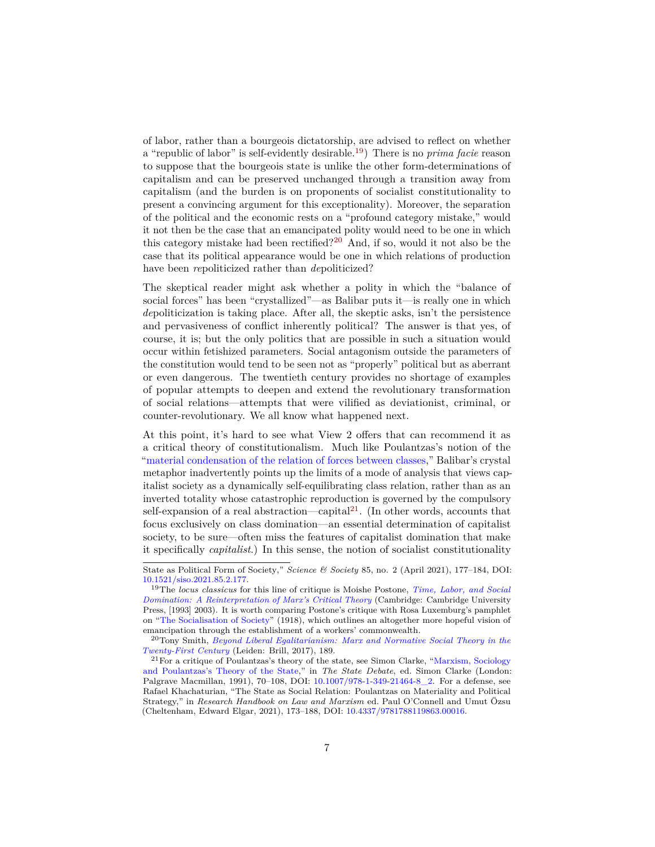[of labor, rather than a bourgeois dictatorship, are advised to reflect on whether](https://www.academia.edu/46307092/Marxist_Approaches_to_the_State) [a "republic of labor" is self-evidently desirable.](https://www.academia.edu/46307092/Marxist_Approaches_to_the_State)[19](#page-6-0)) There is no *prima facie* reason [to suppose that the bourgeois state is unlike the other form-determinations of](https://www.academia.edu/46307092/Marxist_Approaches_to_the_State) [capitalism and can be preserved unchanged through a transition away from](https://www.academia.edu/46307092/Marxist_Approaches_to_the_State) [capitalism \(and the burden is on proponents of socialist constitutionality to](https://www.academia.edu/46307092/Marxist_Approaches_to_the_State) [present a convincing argument for this exceptionality\). Moreover, the separation](https://www.academia.edu/46307092/Marxist_Approaches_to_the_State) [of the political and the economic rests on a "profound category mistake," would](https://www.academia.edu/46307092/Marxist_Approaches_to_the_State) [it not then be the case that an emancipated polity would need to be one in which](https://www.academia.edu/46307092/Marxist_Approaches_to_the_State) [this category mistake had been rectified?](https://www.academia.edu/46307092/Marxist_Approaches_to_the_State)[20](#page-6-1) And, if so, would it not also be the [case that its political appearance would be one in which relations of production](https://www.academia.edu/46307092/Marxist_Approaches_to_the_State) have been *re*[politicized rather than](https://www.academia.edu/46307092/Marxist_Approaches_to_the_State) *de*politicized?

[The skeptical reader might ask whether a polity in which the "balance of](https://www.academia.edu/46307092/Marxist_Approaches_to_the_State) [social forces" has been "crystallized"—as Balibar puts it—is really one in which](https://www.academia.edu/46307092/Marxist_Approaches_to_the_State) *de*[politicization is taking place. After all, the skeptic asks, isn't the persistence](https://www.academia.edu/46307092/Marxist_Approaches_to_the_State) [and pervasiveness of conflict inherently political? The answer is that yes, of](https://www.academia.edu/46307092/Marxist_Approaches_to_the_State) [course, it is; but the only politics that are possible in such a situation would](https://www.academia.edu/46307092/Marxist_Approaches_to_the_State) [occur within fetishized parameters. Social antagonism outside the parameters of](https://www.academia.edu/46307092/Marxist_Approaches_to_the_State) [the constitution would tend to be seen not as "properly" political but as aberrant](https://www.academia.edu/46307092/Marxist_Approaches_to_the_State) [or even dangerous. The twentieth century provides no shortage of examples](https://www.academia.edu/46307092/Marxist_Approaches_to_the_State) [of popular attempts to deepen and extend the revolutionary transformation](https://www.academia.edu/46307092/Marxist_Approaches_to_the_State) [of social relations—attempts that were vilified as deviationist, criminal, or](https://www.academia.edu/46307092/Marxist_Approaches_to_the_State) [counter-revolutionary. We all know what happened next.](https://www.academia.edu/46307092/Marxist_Approaches_to_the_State)

[At this point, it's hard to see what View 2 offers that can recommend it as](https://www.academia.edu/46307092/Marxist_Approaches_to_the_State) [a critical theory of constitutionalism. Much like Poulantzas's notion of the](https://www.academia.edu/46307092/Marxist_Approaches_to_the_State) ["material condensation of the relation of forces between classes," Balibar's crystal](https://www.academia.edu/46307092/Marxist_Approaches_to_the_State) [metaphor inadvertently points up the limits of a mode of analysis that views cap](https://www.academia.edu/46307092/Marxist_Approaches_to_the_State)[italist society as a dynamically self-equilibrating class relation, rather than as an](https://www.academia.edu/46307092/Marxist_Approaches_to_the_State) [inverted totality whose catastrophic reproduction is governed by the compulsory](https://www.academia.edu/46307092/Marxist_Approaches_to_the_State) [self-expansion of a real abstraction—capital](https://www.academia.edu/46307092/Marxist_Approaches_to_the_State) $^{21}$  $^{21}$  $^{21}$ . (In other words, accounts that [focus exclusively on class domination—an essential determination of capitalist](https://www.academia.edu/46307092/Marxist_Approaches_to_the_State) [society, to be sure—often miss the features of capitalist domination that make](https://www.academia.edu/46307092/Marxist_Approaches_to_the_State) it specifically *capitalist*[.\) In this sense, the notion of socialist constitutionality](https://www.academia.edu/46307092/Marxist_Approaches_to_the_State)

<span id="page-6-1"></span><sup>20</sup>Tony Smith, *[Beyond Liberal Egalitarianism: Marx and Normative Social Theory in the](https://www.haymarketbooks.org/books/1190-beyond-liberal-egalitarianism) [Twenty-First Century](https://www.haymarketbooks.org/books/1190-beyond-liberal-egalitarianism)* (Leiden: Brill, 2017), 189.

[State as Political Form of Society,](https://www.academia.edu/46307092/Marxist_Approaches_to_the_State)" *Science & Society* 85, no. 2 (April 2021), 177–184, DOI: [10.1521/siso.2021.85.2.177.](https://guilfordjournals.com/doi/10.1521/siso.2021.85.2.177)

<span id="page-6-0"></span><sup>19</sup>The *locus classicus* for this line of critique is Moishe Postone, *[Time, Labor, and Social](https://libcom.org/article/time-labor-and-social-domination-reinterpretation-marxs-critical-theory-moishe-postone) [Domination: A Reinterpretation of Marx's Critical Theory](https://libcom.org/article/time-labor-and-social-domination-reinterpretation-marxs-critical-theory-moishe-postone)* (Cambridge: Cambridge University Press, [1993] 2003). It is worth comparing Postone's critique with Rosa Luxemburg's pamphlet on ["The Socialisation of Society"](https://www.marxists.org/archive/luxemburg/1918/12/20.htm) (1918), which outlines an altogether more hopeful vision of emancipation through the establishment of a workers' commonwealth.

<span id="page-6-2"></span> $^{21}$  For a critique of Poulantzas's theory of the state, see Simon Clarke, ["Marxism, Sociology](http://homepages.warwick.ac.uk/~syrbe/pubs/xpoul.pdf) [and Poulantzas's Theory of the State,](http://homepages.warwick.ac.uk/~syrbe/pubs/xpoul.pdf)" in *The State Debate*, ed. Simon Clarke (London: Palgrave Macmillan, 1991), 70–108, DOI: [10.1007/978-1-349-21464-8\\_2.](https://doi.org/10.1007/978-1-349-21464-8_2) For a defense, see Rafael Khachaturian, "The State as Social Relation: Poulantzas on Materiality and Political Strategy," in *Research Handbook on Law and Marxism* ed. Paul O'Connell and Umut Özsu (Cheltenham, Edward Elgar, 2021), 173–188, DOI: [10.4337/9781788119863.00016.](https://doi.org/10.4337/9781788119863.00016)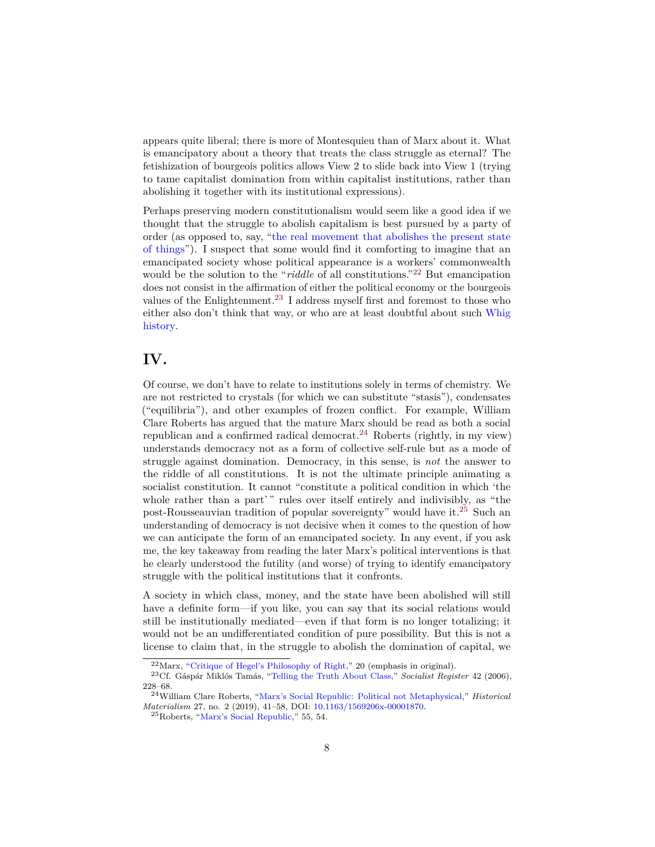appears quite liberal; there is more of Montesquieu than of Marx about it. What is emancipatory about a theory that treats the class struggle as eternal? The fetishization of bourgeois politics allows View 2 to slide back into View 1 (trying to tame capitalist domination from within capitalist institutions, rather than abolishing it together with its institutional expressions).

Perhaps preserving modern constitutionalism would seem like a good idea if we thought that the struggle to abolish capitalism is best pursued by a party of order (as opposed to, say, ["the real movement that abolishes the present state](https://www.marxists.org/archive/marx/works/1845/german-ideology/ch01a.htm) [of things"](https://www.marxists.org/archive/marx/works/1845/german-ideology/ch01a.htm)). I suspect that some would find it comforting to imagine that an emancipated society whose political appearance is a workers' commonwealth would be the solution to the "*riddle* of all constitutions."<sup>[22](#page-7-0)</sup> But emancipation does not consist in the affirmation of either the political economy or the bourgeois values of the Enlightenment.[23](#page-7-1) I address myself first and foremost to those who either also don't think that way, or who are at least doubtful about such [Whig](https://en.wikipedia.org/wiki/Whig_history) [history.](https://en.wikipedia.org/wiki/Whig_history)

## **IV.**

Of course, we don't have to relate to institutions solely in terms of chemistry. We are not restricted to crystals (for which we can substitute "stasis"), condensates ("equilibria"), and other examples of frozen conflict. For example, William Clare Roberts has argued that the mature Marx should be read as both a social republican and a confirmed radical democrat.[24](#page-7-2) Roberts (rightly, in my view) understands democracy not as a form of collective self-rule but as a mode of struggle against domination. Democracy, in this sense, is *not* the answer to the riddle of all constitutions. It is not the ultimate principle animating a socialist constitution. It cannot "constitute a political condition in which 'the whole rather than a part'" rules over itself entirely and indivisibly, as "the post-Rousseauvian tradition of popular sovereignty" would have it.[25](#page-7-3) Such an understanding of democracy is not decisive when it comes to the question of how we can anticipate the form of an emancipated society. In any event, if you ask me, the key takeaway from reading the later Marx's political interventions is that he clearly understood the futility (and worse) of trying to identify emancipatory struggle with the political institutions that it confronts.

A society in which class, money, and the state have been abolished will still have a definite form—if you like, you can say that its social relations would still be institutionally mediated—even if that form is no longer totalizing; it would not be an undifferentiated condition of pure possibility. But this is not a license to claim that, in the struggle to abolish the domination of capital, we

<span id="page-7-1"></span><span id="page-7-0"></span><sup>22</sup>Marx, ["Critique of Hegel's Philosophy of Right,](https://www.marxists.org/archive/marx/works/1843/critique-hpr/index.htm)" 20 (emphasis in original).

<sup>23</sup>Cf. Gáspár Miklós Tamás, ["Telling the Truth About Class,](https://cominsitu.wordpress.com/2016/08/15/telling-the-truth-about-class-tamas/)" *Socialist Register* 42 (2006), 228–68.

<span id="page-7-2"></span><sup>24</sup>William Clare Roberts, ["Marx's Social Republic: Political not Metaphysical,](https://www.researchgate.net/profile/William-Roberts-33/publication/334159032_Marx)" *Historical Materialism* 27, no. 2 (2019), 41–58, DOI: [10.1163/1569206x-00001870.](https://doi.org/10.1163/1569206X-00001870)

<span id="page-7-3"></span><sup>25</sup>Roberts, ["Marx's Social Republic,](https://www.researchgate.net/profile/William-Roberts-33/publication/334159032_Marx)" 55, 54.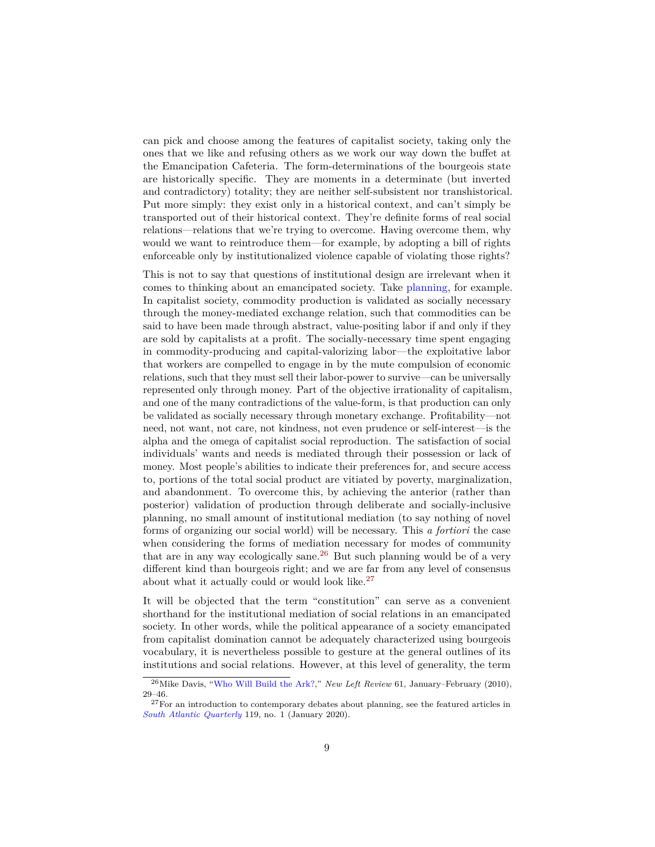can pick and choose among the features of capitalist society, taking only the ones that we like and refusing others as we work our way down the buffet at the Emancipation Cafeteria. The form-determinations of the bourgeois state are historically specific. They are moments in a determinate (but inverted and contradictory) totality; they are neither self-subsistent nor transhistorical. Put more simply: they exist only in a historical context, and can't simply be transported out of their historical context. They're definite forms of real social relations—relations that we're trying to overcome. Having overcome them, why would we want to reintroduce them—for example, by adopting a bill of rights enforceable only by institutionalized violence capable of violating those rights?

This is not to say that questions of institutional design are irrelevant when it comes to thinking about an emancipated society. Take [planning,](http://socialistplanning.org/) for example. In capitalist society, commodity production is validated as socially necessary through the money-mediated exchange relation, such that commodities can be said to have been made through abstract, value-positing labor if and only if they are sold by capitalists at a profit. The socially-necessary time spent engaging in commodity-producing and capital-valorizing labor—the exploitative labor that workers are compelled to engage in by the mute compulsion of economic relations, such that they must sell their labor-power to survive—can be universally represented only through money. Part of the objective irrationality of capitalism, and one of the many contradictions of the value-form, is that production can only be validated as socially necessary through monetary exchange. Profitability—not need, not want, not care, not kindness, not even prudence or self-interest—is the alpha and the omega of capitalist social reproduction. The satisfaction of social individuals' wants and needs is mediated through their possession or lack of money. Most people's abilities to indicate their preferences for, and secure access to, portions of the total social product are vitiated by poverty, marginalization, and abandonment. To overcome this, by achieving the anterior (rather than posterior) validation of production through deliberate and socially-inclusive planning, no small amount of institutional mediation (to say nothing of novel forms of organizing our social world) will be necessary. This *a fortiori* the case when considering the forms of mediation necessary for modes of community that are in any way ecologically sane.<sup>[26](#page-8-0)</sup> But such planning would be of a very different kind than bourgeois right; and we are far from any level of consensus about what it actually could or would look like. $27$ 

It will be objected that the term "constitution" can serve as a convenient shorthand for the institutional mediation of social relations in an emancipated society. In other words, while the political appearance of a society emancipated from capitalist domination cannot be adequately characterized using bourgeois vocabulary, it is nevertheless possible to gesture at the general outlines of its institutions and social relations. However, at this level of generality, the term

<span id="page-8-0"></span><sup>26</sup>Mike Davis, ["Who Will Build the Ark?,](https://irows.ucr.edu/cd/courses/10/reader/New%20Left%20Review%20-%20Mike%20Davis%20%20Who%20Will%20Build%20the%20Ark.htm)" *New Left Review* 61, January–February (2010), 29–46.

<span id="page-8-1"></span> $^{27}\rm{For}$  an introduction to contemporary debates about planning, see the featured articles in *[South Atlantic Quarterly](https://read.dukeupress.edu/south-atlantic-quarterly/issue/119/1)* 119, no. 1 (January 2020).